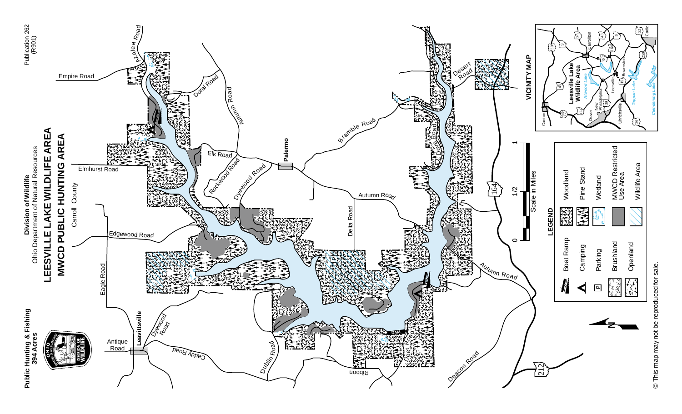